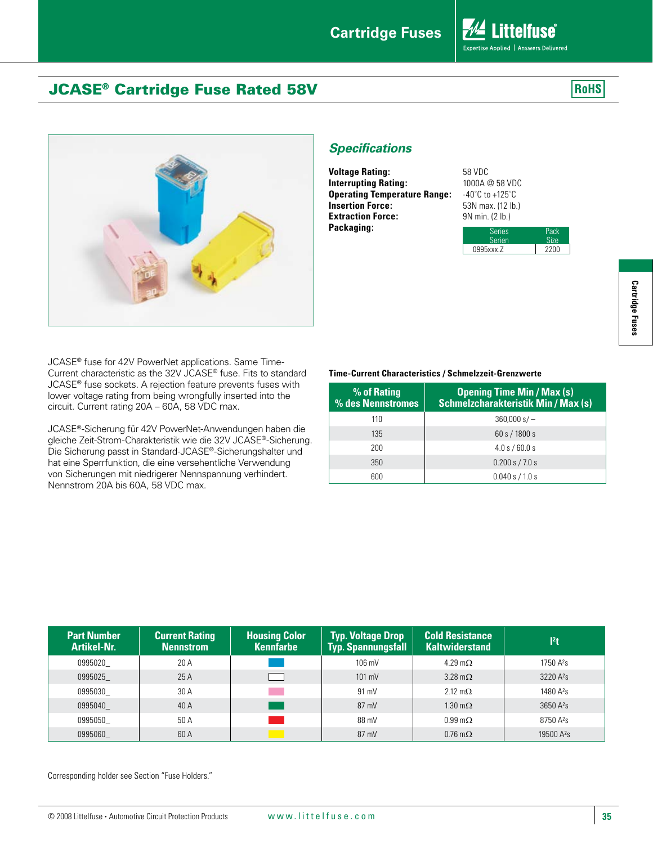Expertise Applied | Answers Delivered

**RoHS** 

*A* Littelfuse®

# JCASE® Cartridge Fuse Rated 58V



JCASE® fuse for 42V PowerNet applications. Same Time-Current characteristic as the 32V JCASE® fuse. Fits to standard JCASE® fuse sockets. A rejection feature prevents fuses with lower voltage rating from being wrongfully inserted into the circuit. Current rating 20A – 60A, 58 VDC max.

JCASE®-Sicherung für 42V PowerNet-Anwendungen haben die gleiche Zeit-Strom-Charakteristik wie die 32V JCASE®-Sicherung. Die Sicherung passt in Standard-JCASE®-Sicherungshalter und hat eine Sperrfunktion, die eine versehentliche Verwendung von Sicherungen mit niedrigerer Nennspannung verhindert. Nennstrom 20A bis 60A, 58 VDC max.

## *Specifications*

**Voltage Rating:** 58 VDC **Interrupting Rating:** 1000A @ 58 VDC **Operating Temperature Range:** -40˚C to +125˚C **Insertion Force:** 53N max. (12 lb.) **Extraction Force:** 9N min. (2 lb.) **Packaging:**

| Series<br>Serien | Pack |
|------------------|------|
| 0995xxx.Z        | 2200 |

### **Time-Current Characteristics / Schmelzzeit-Grenzwerte**

| % of Rating<br>% des Nennstromes | <b>Opening Time Min / Max (s)</b><br><b>Schmelzcharakteristik Min / Max (s)</b> |  |  |  |
|----------------------------------|---------------------------------------------------------------------------------|--|--|--|
| 110                              | $360,000 s/-$                                                                   |  |  |  |
| 135                              | 60 s / 1800 s                                                                   |  |  |  |
| 200                              | 4.0 s / 60.0 s                                                                  |  |  |  |
| 350                              | 0.200 s / 7.0 s                                                                 |  |  |  |
| 600                              | 0.040 s / 1.0 s                                                                 |  |  |  |

| <b>Part Number</b><br><b>Artikel-Nr.</b> | <b>Current Rating</b><br><b>Nennstrom</b> | <b>Housing Color</b><br><b>Kennfarbe</b>                                                                              | <b>Typ. Voltage Drop</b><br><b>Typ. Spannungsfall</b> | <b>Cold Resistance</b><br><b>Kaltwiderstand</b> | l <sup>2</sup> t       |
|------------------------------------------|-------------------------------------------|-----------------------------------------------------------------------------------------------------------------------|-------------------------------------------------------|-------------------------------------------------|------------------------|
| 0995020                                  | 20 A                                      |                                                                                                                       | $106 \text{ mV}$                                      | 4.29 m $\Omega$                                 | $1750A^{2}s$           |
| 0995025                                  | 25 A                                      |                                                                                                                       | $101 \text{ mV}$                                      | $3.28 \text{ m}\Omega$                          | 3220 A <sup>2</sup> s  |
| 0995030                                  | 30 A                                      | <b>Contract Contract Contract Contract Contract Contract Contract Contract Contract Contract Contract Contract Co</b> | 91 mV                                                 | $2.12 \text{ m}\Omega$                          | 1480 $A^{2}s$          |
| 0995040                                  | 40 A                                      |                                                                                                                       | 87 mV                                                 | $1.30 \text{ m}\Omega$                          | $3650A^{2}s$           |
| 0995050                                  | 50 A                                      |                                                                                                                       | 88 mV                                                 | $0.99 \,\mathrm{m}\Omega$                       | $8750A^{2}s$           |
| 0995060                                  | 60 A                                      |                                                                                                                       | $87 \text{ mV}$                                       | $0.76 \text{ m}\Omega$                          | 19500 A <sup>2</sup> s |

Corresponding holder see Section "Fuse Holders."